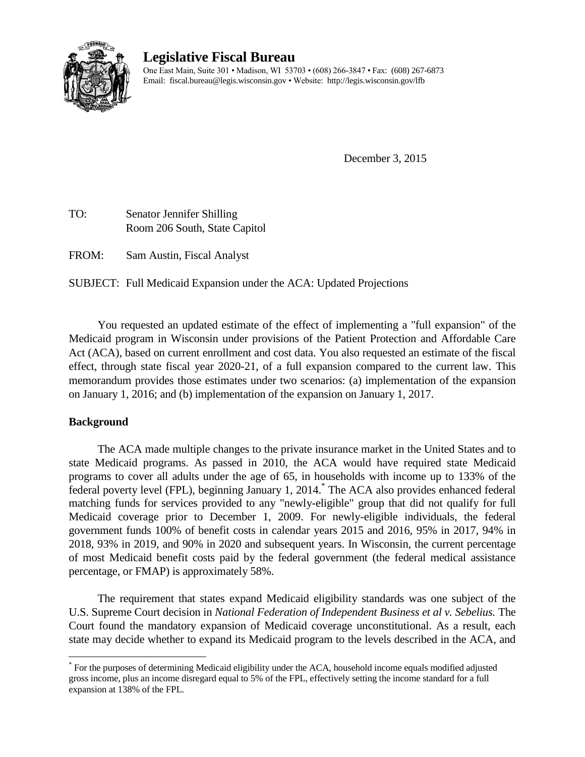

# **Legislative Fiscal Bureau**

One East Main, Suite 301 • Madison, WI 53703 • (608) 266-3847 • Fax: (608) 267-6873 Email: fiscal.bureau@legis.wisconsin.gov • Website:<http://legis.wisconsin.gov/lfb>

December 3, 2015

TO: Senator Jennifer Shilling Room 206 South, State Capitol

FROM: Sam Austin, Fiscal Analyst

SUBJECT: Full Medicaid Expansion under the ACA: Updated Projections

You requested an updated estimate of the effect of implementing a "full expansion" of the Medicaid program in Wisconsin under provisions of the Patient Protection and Affordable Care Act (ACA), based on current enrollment and cost data. You also requested an estimate of the fiscal effect, through state fiscal year 2020-21, of a full expansion compared to the current law. This memorandum provides those estimates under two scenarios: (a) implementation of the expansion on January 1, 2016; and (b) implementation of the expansion on January 1, 2017.

# **Background**

 $\overline{a}$ 

The ACA made multiple changes to the private insurance market in the United States and to state Medicaid programs. As passed in 2010, the ACA would have required state Medicaid programs to cover all adults under the age of 65, in households with income up to 133% of the federal poverty level (FPL), beginning January 1, 2014.\* The ACA also provides enhanced federal matching funds for services provided to any "newly-eligible" group that did not qualify for full Medicaid coverage prior to December 1, 2009. For newly-eligible individuals, the federal government funds 100% of benefit costs in calendar years 2015 and 2016, 95% in 2017, 94% in 2018, 93% in 2019, and 90% in 2020 and subsequent years. In Wisconsin, the current percentage of most Medicaid benefit costs paid by the federal government (the federal medical assistance percentage, or FMAP) is approximately 58%.

The requirement that states expand Medicaid eligibility standards was one subject of the U.S. Supreme Court decision in *National Federation of Independent Business et al v. Sebelius.* The Court found the mandatory expansion of Medicaid coverage unconstitutional. As a result, each state may decide whether to expand its Medicaid program to the levels described in the ACA, and

<sup>\*</sup> For the purposes of determining Medicaid eligibility under the ACA, household income equals modified adjusted gross income, plus an income disregard equal to 5% of the FPL, effectively setting the income standard for a full expansion at 138% of the FPL.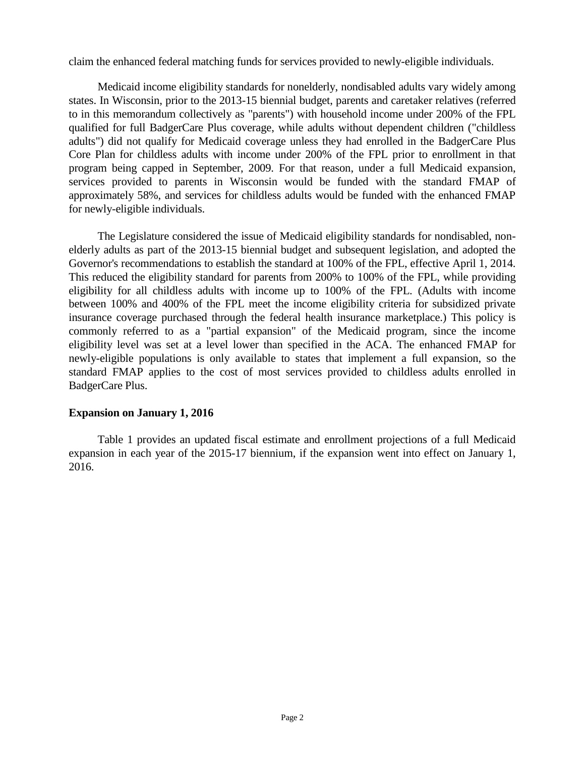claim the enhanced federal matching funds for services provided to newly-eligible individuals.

Medicaid income eligibility standards for nonelderly, nondisabled adults vary widely among states. In Wisconsin, prior to the 2013-15 biennial budget, parents and caretaker relatives (referred to in this memorandum collectively as "parents") with household income under 200% of the FPL qualified for full BadgerCare Plus coverage, while adults without dependent children ("childless adults") did not qualify for Medicaid coverage unless they had enrolled in the BadgerCare Plus Core Plan for childless adults with income under 200% of the FPL prior to enrollment in that program being capped in September, 2009. For that reason, under a full Medicaid expansion, services provided to parents in Wisconsin would be funded with the standard FMAP of approximately 58%, and services for childless adults would be funded with the enhanced FMAP for newly-eligible individuals.

The Legislature considered the issue of Medicaid eligibility standards for nondisabled, nonelderly adults as part of the 2013-15 biennial budget and subsequent legislation, and adopted the Governor's recommendations to establish the standard at 100% of the FPL, effective April 1, 2014. This reduced the eligibility standard for parents from 200% to 100% of the FPL, while providing eligibility for all childless adults with income up to 100% of the FPL. (Adults with income between 100% and 400% of the FPL meet the income eligibility criteria for subsidized private insurance coverage purchased through the federal health insurance marketplace.) This policy is commonly referred to as a "partial expansion" of the Medicaid program, since the income eligibility level was set at a level lower than specified in the ACA. The enhanced FMAP for newly-eligible populations is only available to states that implement a full expansion, so the standard FMAP applies to the cost of most services provided to childless adults enrolled in BadgerCare Plus.

## **Expansion on January 1, 2016**

Table 1 provides an updated fiscal estimate and enrollment projections of a full Medicaid expansion in each year of the 2015-17 biennium, if the expansion went into effect on January 1, 2016.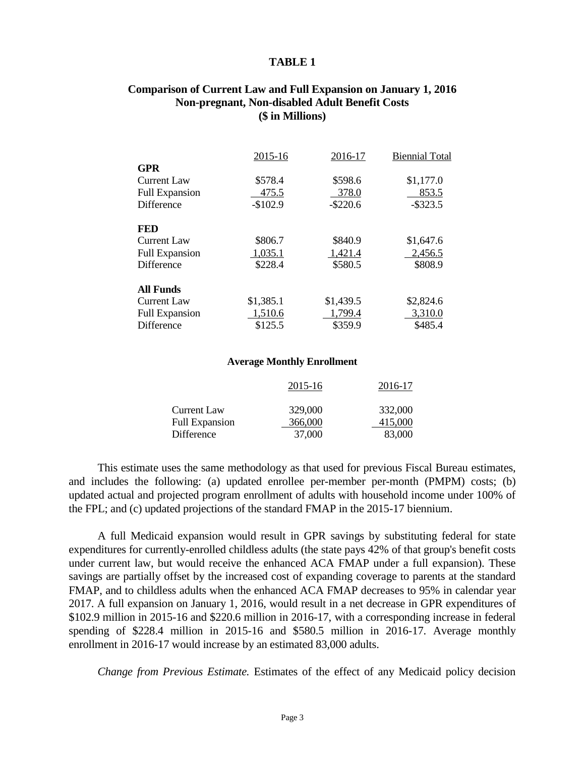#### **TABLE 1**

## **Comparison of Current Law and Full Expansion on January 1, 2016 Non-pregnant, Non-disabled Adult Benefit Costs (\$ in Millions)**

|                       | 2015-16   | 2016-17     | <b>Biennial Total</b> |
|-----------------------|-----------|-------------|-----------------------|
| <b>GPR</b>            |           |             |                       |
| <b>Current Law</b>    | \$578.4   | \$598.6     | \$1,177.0             |
| <b>Full Expansion</b> | 475.5     | 378.0       | 853.5                 |
| Difference            | $-$102.9$ | $-$ \$220.6 | $-$ \$323.5           |
| <b>FED</b>            |           |             |                       |
| <b>Current Law</b>    | \$806.7   | \$840.9     | \$1,647.6             |
| <b>Full Expansion</b> | 1,035.1   | 1,421.4     | 2,456.5               |
| <b>Difference</b>     | \$228.4   | \$580.5     | \$808.9               |
| <b>All Funds</b>      |           |             |                       |
| <b>Current Law</b>    | \$1,385.1 | \$1,439.5   | \$2,824.6             |
| <b>Full Expansion</b> | 1,510.6   | 1,799.4     | 3,310.0               |
| Difference            | \$125.5   | \$359.9     | \$485.4               |

#### **Average Monthly Enrollment**

|                       | 2015-16 | 2016-17 |
|-----------------------|---------|---------|
| Current Law           | 329,000 | 332,000 |
| <b>Full Expansion</b> | 366,000 | 415,000 |
| Difference            | 37,000  | 83,000  |

This estimate uses the same methodology as that used for previous Fiscal Bureau estimates, and includes the following: (a) updated enrollee per-member per-month (PMPM) costs; (b) updated actual and projected program enrollment of adults with household income under 100% of the FPL; and (c) updated projections of the standard FMAP in the 2015-17 biennium.

A full Medicaid expansion would result in GPR savings by substituting federal for state expenditures for currently-enrolled childless adults (the state pays 42% of that group's benefit costs under current law, but would receive the enhanced ACA FMAP under a full expansion). These savings are partially offset by the increased cost of expanding coverage to parents at the standard FMAP, and to childless adults when the enhanced ACA FMAP decreases to 95% in calendar year 2017. A full expansion on January 1, 2016, would result in a net decrease in GPR expenditures of \$102.9 million in 2015-16 and \$220.6 million in 2016-17, with a corresponding increase in federal spending of \$228.4 million in 2015-16 and \$580.5 million in 2016-17. Average monthly enrollment in 2016-17 would increase by an estimated 83,000 adults.

*Change from Previous Estimate.* Estimates of the effect of any Medicaid policy decision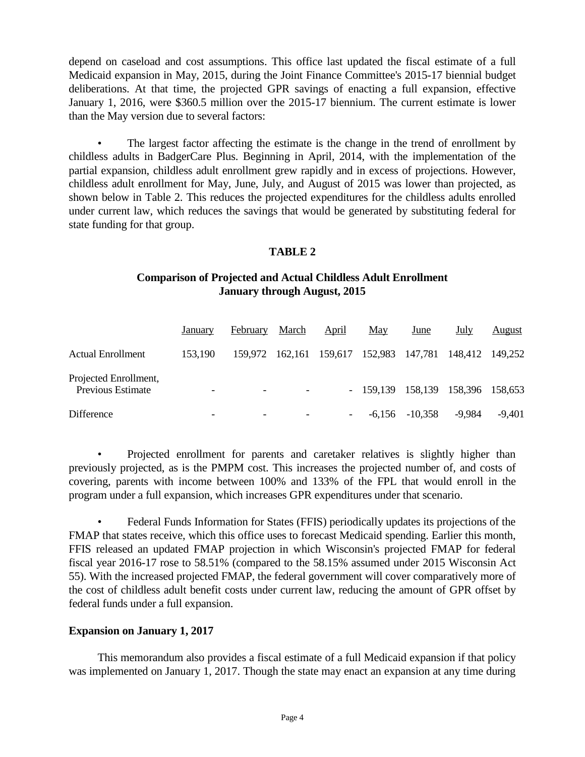depend on caseload and cost assumptions. This office last updated the fiscal estimate of a full Medicaid expansion in May, 2015, during the Joint Finance Committee's 2015-17 biennial budget deliberations. At that time, the projected GPR savings of enacting a full expansion, effective January 1, 2016, were \$360.5 million over the 2015-17 biennium. The current estimate is lower than the May version due to several factors:

The largest factor affecting the estimate is the change in the trend of enrollment by childless adults in BadgerCare Plus. Beginning in April, 2014, with the implementation of the partial expansion, childless adult enrollment grew rapidly and in excess of projections. However, childless adult enrollment for May, June, July, and August of 2015 was lower than projected, as shown below in Table 2. This reduces the projected expenditures for the childless adults enrolled under current law, which reduces the savings that would be generated by substituting federal for state funding for that group.

## **TABLE 2**

# **Comparison of Projected and Actual Childless Adult Enrollment January through August, 2015**

|                                                   | January | February | March | April                                           | May    | June      | July                              | August   |
|---------------------------------------------------|---------|----------|-------|-------------------------------------------------|--------|-----------|-----------------------------------|----------|
| <b>Actual Enrollment</b>                          | 153,190 |          |       | 159,972 162,161 159,617 152,983 147,781 148,412 |        |           |                                   | 149.252  |
| Projected Enrollment,<br><b>Previous Estimate</b> |         |          |       |                                                 |        |           | - 159,139 158,139 158,396 158,653 |          |
| Difference                                        |         |          |       |                                                 | -6.156 | $-10,358$ | -9,984                            | $-9,401$ |

• Projected enrollment for parents and caretaker relatives is slightly higher than previously projected, as is the PMPM cost. This increases the projected number of, and costs of covering, parents with income between 100% and 133% of the FPL that would enroll in the program under a full expansion, which increases GPR expenditures under that scenario.

• Federal Funds Information for States (FFIS) periodically updates its projections of the FMAP that states receive, which this office uses to forecast Medicaid spending. Earlier this month, FFIS released an updated FMAP projection in which Wisconsin's projected FMAP for federal fiscal year 2016-17 rose to 58.51% (compared to the 58.15% assumed under 2015 Wisconsin Act 55). With the increased projected FMAP, the federal government will cover comparatively more of the cost of childless adult benefit costs under current law, reducing the amount of GPR offset by federal funds under a full expansion.

## **Expansion on January 1, 2017**

This memorandum also provides a fiscal estimate of a full Medicaid expansion if that policy was implemented on January 1, 2017. Though the state may enact an expansion at any time during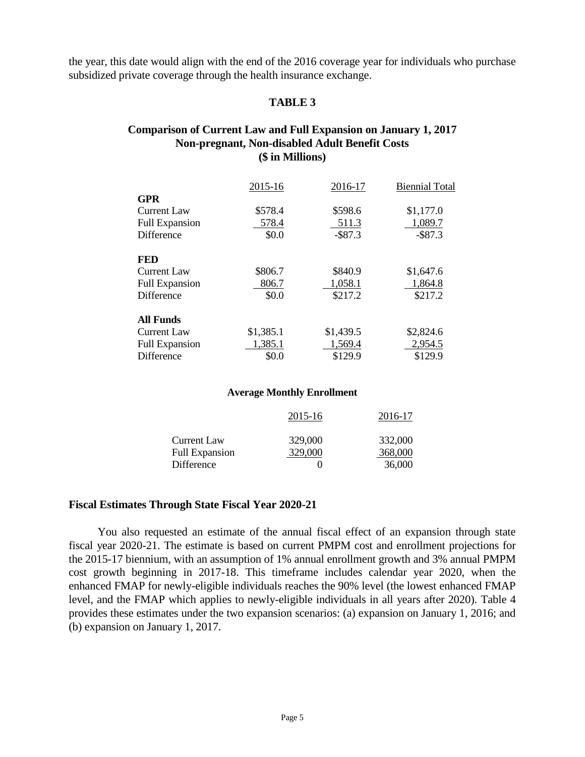the year, this date would align with the end of the 2016 coverage year for individuals who purchase subsidized private coverage through the health insurance exchange.

## **TABLE 3**

## **Comparison of Current Law and Full Expansion on January 1, 2017 Non-pregnant, Non-disabled Adult Benefit Costs (\$ in Millions)**

|                       | 2015-16   | 2016-17    | <b>Biennial Total</b> |
|-----------------------|-----------|------------|-----------------------|
| <b>GPR</b>            |           |            |                       |
| <b>Current Law</b>    | \$578.4   | \$598.6    | \$1,177.0             |
| <b>Full Expansion</b> | 578.4     | 511.3      | 1,089.7               |
| <b>Difference</b>     | \$0.0     | $-$ \$87.3 | $-$ \$87.3            |
| <b>FED</b>            |           |            |                       |
| <b>Current Law</b>    | \$806.7   | \$840.9    | \$1,647.6             |
| <b>Full Expansion</b> | 806.7     | 1,058.1    | 1,864.8               |
| <b>Difference</b>     | \$0.0     | \$217.2    | \$217.2               |
| <b>All Funds</b>      |           |            |                       |
| <b>Current Law</b>    | \$1,385.1 | \$1,439.5  | \$2,824.6             |
| <b>Full Expansion</b> | 1,385.1   | 1,569.4    | 2,954.5               |
| Difference            | \$0.0     | \$129.9    | \$129.9               |

#### **Average Monthly Enrollment**

|                       | 2015-16 | 2016-17 |
|-----------------------|---------|---------|
| Current Law           | 329,000 | 332,000 |
| <b>Full Expansion</b> | 329,000 | 368,000 |
| Difference            |         | 36,000  |

## **Fiscal Estimates Through State Fiscal Year 2020-21**

You also requested an estimate of the annual fiscal effect of an expansion through state fiscal year 2020-21. The estimate is based on current PMPM cost and enrollment projections for the 2015-17 biennium, with an assumption of 1% annual enrollment growth and 3% annual PMPM cost growth beginning in 2017-18. This timeframe includes calendar year 2020, when the enhanced FMAP for newly-eligible individuals reaches the 90% level (the lowest enhanced FMAP level, and the FMAP which applies to newly-eligible individuals in all years after 2020). Table 4 provides these estimates under the two expansion scenarios: (a) expansion on January 1, 2016; and (b) expansion on January 1, 2017.